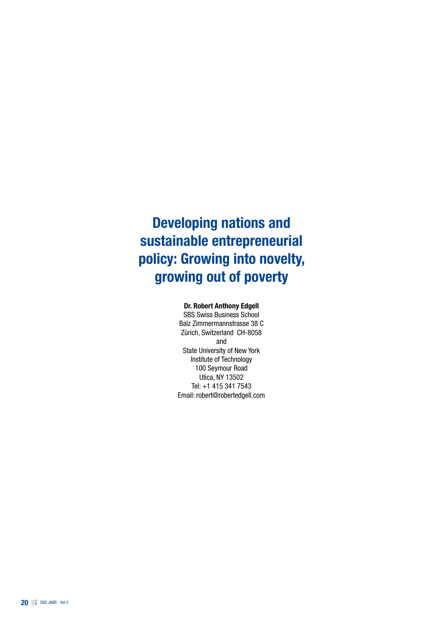# Developing nations and sustainable entrepreneurial policy: Growing into novelty, growing out of poverty

#### Dr. Robert Anthony Edgell

SBS Swiss Business School Balz Zimmermannstrasse 38 C Zürich, Switzerland CH-8058 and State University of New York Institute of Technology 100 Seymour Road Utica, NY 13502 Tel: +1 415 341 7543 Email: robert@robertedgell.com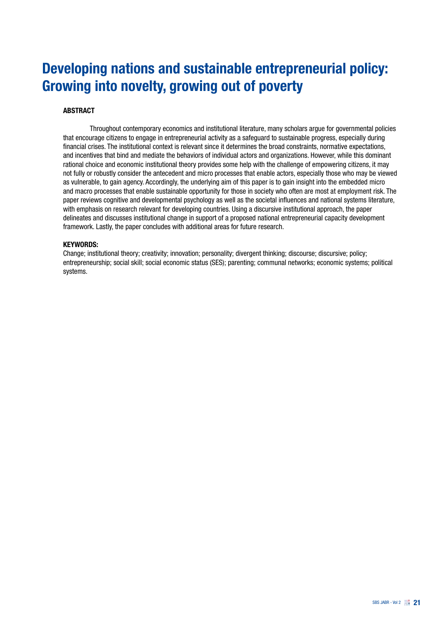# Developing nations and sustainable entrepreneurial policy: Growing into novelty, growing out of poverty

#### **ABSTRACT**

Throughout contemporary economics and institutional literature, many scholars argue for governmental policies that encourage citizens to engage in entrepreneurial activity as a safeguard to sustainable progress, especially during financial crises. The institutional context is relevant since it determines the broad constraints, normative expectations, and incentives that bind and mediate the behaviors of individual actors and organizations. However, while this dominant rational choice and economic institutional theory provides some help with the challenge of empowering citizens, it may not fully or robustly consider the antecedent and micro processes that enable actors, especially those who may be viewed as vulnerable, to gain agency. Accordingly, the underlying aim of this paper is to gain insight into the embedded micro and macro processes that enable sustainable opportunity for those in society who often are most at employment risk. The paper reviews cognitive and developmental psychology as well as the societal influences and national systems literature, with emphasis on research relevant for developing countries. Using a discursive institutional approach, the paper delineates and discusses institutional change in support of a proposed national entrepreneurial capacity development framework. Lastly, the paper concludes with additional areas for future research.

#### KEYWORDS:

Change; institutional theory; creativity; innovation; personality; divergent thinking; discourse; discursive; policy; entrepreneurship; social skill; social economic status (SES); parenting; communal networks; economic systems; political systems.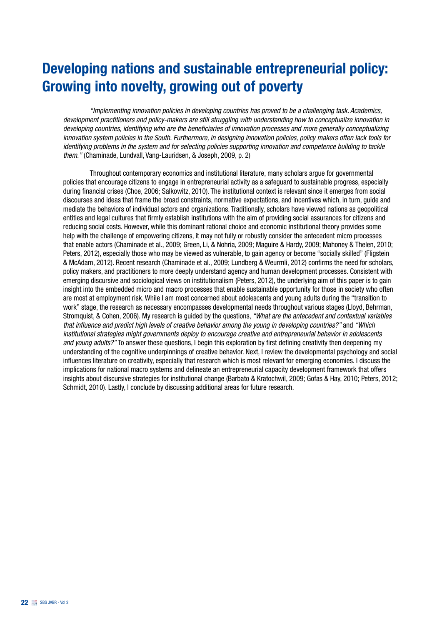# Developing nations and sustainable entrepreneurial policy: Growing into novelty, growing out of poverty

*"Implementing innovation policies in developing countries has proved to be a challenging task. Academics, development practitioners and policy-makers are still struggling with understanding how to conceptualize innovation in developing countries, identifying who are the beneficiaries of innovation processes and more generally conceptualizing innovation system policies in the South. Furthermore, in designing innovation policies, policy makers often lack tools for identifying problems in the system and for selecting policies supporting innovation and competence building to tackle them."* (Chaminade, Lundvall, Vang-Lauridsen, & Joseph, 2009, p. 2)

Throughout contemporary economics and institutional literature, many scholars argue for governmental policies that encourage citizens to engage in entrepreneurial activity as a safeguard to sustainable progress, especially during financial crises (Choe, 2006; Salkowitz, 2010). The institutional context is relevant since it emerges from social discourses and ideas that frame the broad constraints, normative expectations, and incentives which, in turn, guide and mediate the behaviors of individual actors and organizations. Traditionally, scholars have viewed nations as geopolitical entities and legal cultures that firmly establish institutions with the aim of providing social assurances for citizens and reducing social costs. However, while this dominant rational choice and economic institutional theory provides some help with the challenge of empowering citizens, it may not fully or robustly consider the antecedent micro processes that enable actors (Chaminade et al., 2009; Green, Li, & Nohria, 2009; Maguire & Hardy, 2009; Mahoney & Thelen, 2010; Peters, 2012), especially those who may be viewed as vulnerable, to gain agency or become "socially skilled" (Fligstein & McAdam, 2012). Recent research (Chaminade et al., 2009; Lundberg & Weurmli, 2012) confirms the need for scholars, policy makers, and practitioners to more deeply understand agency and human development processes. Consistent with emerging discursive and sociological views on institutionalism (Peters, 2012), the underlying aim of this paper is to gain insight into the embedded micro and macro processes that enable sustainable opportunity for those in society who often are most at employment risk. While I am most concerned about adolescents and young adults during the "transition to work" stage, the research as necessary encompasses developmental needs throughout various stages (Lloyd, Behrman, Stromquist, & Cohen, 2006). My research is guided by the questions, *"What are the antecedent and contextual variables that influence and predict high levels of creative behavior among the young in developing countries?"* and *"Which institutional strategies might governments deploy to encourage creative and entrepreneurial behavior in adolescents and young adults?"* To answer these questions, I begin this exploration by first defining creativity then deepening my understanding of the cognitive underpinnings of creative behavior. Next, I review the developmental psychology and social influences literature on creativity, especially that research which is most relevant for emerging economies. I discuss the implications for national macro systems and delineate an entrepreneurial capacity development framework that offers insights about discursive strategies for institutional change (Barbato & Kratochwil, 2009; Gofas & Hay, 2010; Peters, 2012; Schmidt, 2010). Lastly, I conclude by discussing additional areas for future research.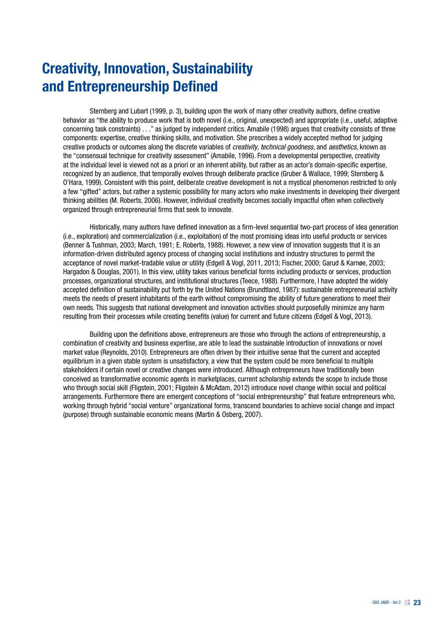# Creativity, Innovation, Sustainability and Entrepreneurship Defined

Sternberg and Lubart (1999, p. 3), building upon the work of many other creativity authors, define creative behavior as "the ability to produce work that is both novel (i.e., original, unexpected) and appropriate (i.e., useful, adaptive concerning task constraints) . . ." as judged by independent critics. Amabile (1998) argues that creativity consists of three components: expertise, creative thinking skills, and motivation. She prescribes a widely accepted method for judging creative products or outcomes along the discrete variables of *creativity*, *technical goodness*, and *aesthetics*, known as the "consensual technique for creativity assessment" (Amabile, 1996). From a developmental perspective, creativity at the individual level is viewed not as a priori or an inherent ability, but rather as an actor's domain-specific expertise, recognized by an audience, that temporally evolves through deliberate practice (Gruber & Wallace, 1999; Sternberg & O'Hara, 1999). Consistent with this point, deliberate creative development is not a mystical phenomenon restricted to only a few "gifted" actors, but rather a systemic possibility for many actors who make investments in developing their divergent thinking abilities (M. Roberts, 2006). However, individual creativity becomes socially impactful often when collectively organized through entrepreneurial firms that seek to innovate.

Historically, many authors have defined innovation as a firm-level sequential two-part process of idea generation (i.e., exploration) and commercialization (i.e., exploitation) of the most promising ideas into useful products or services (Benner & Tushman, 2003; March, 1991; E. Roberts, 1988). However, a new view of innovation suggests that it is an information-driven distributed agency process of changing social institutions and industry structures to permit the acceptance of novel market-tradable value or utility (Edgell & Vogl, 2011, 2013; Fischer, 2000; Garud & Karnøe, 2003; Hargadon & Douglas, 2001). In this view, utility takes various beneficial forms including products or services, production processes, organizational structures, and institutional structures (Teece, 1988). Furthermore, I have adopted the widely accepted definition of sustainability put forth by the United Nations (Brundtland, 1987): sustainable entrepreneurial activity meets the needs of present inhabitants of the earth without compromising the ability of future generations to meet their own needs. This suggests that national development and innovation activities should purposefully minimize any harm resulting from their processes while creating benefits (value) for current and future citizens (Edgell & Vogl, 2013).

Building upon the definitions above, entrepreneurs are those who through the actions of entrepreneurship, a combination of creativity and business expertise, are able to lead the sustainable introduction of innovations or novel market value (Reynolds, 2010). Entrepreneurs are often driven by their intuitive sense that the current and accepted equilibrium in a given stable system is unsatisfactory, a view that the system could be more beneficial to multiple stakeholders if certain novel or creative changes were introduced. Although entrepreneurs have traditionally been conceived as transformative economic agents in marketplaces, current scholarship extends the scope to include those who through social skill (Fligstein, 2001; Fligstein & McAdam, 2012) introduce novel change within social and political arrangements. Furthermore there are emergent conceptions of "social entrepreneurship" that feature entrepreneurs who, working through hybrid "social venture" organizational forms, transcend boundaries to achieve social change and impact (purpose) through sustainable economic means (Martin & Osberg, 2007).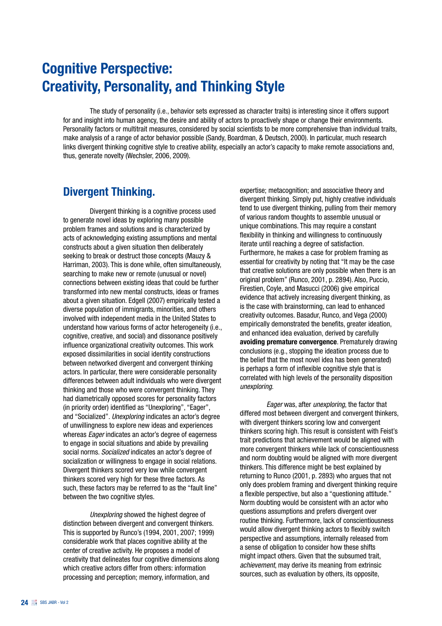## Cognitive Perspective: Creativity, Personality, and Thinking Style

The study of personality (i.e., behavior sets expressed as character traits) is interesting since it offers support for and insight into human agency, the desire and ability of actors to proactively shape or change their environments. Personality factors or multitrait measures, considered by social scientists to be more comprehensive than individual traits, make analysis of a range of actor behavior possible (Sandy, Boardman, & Deutsch, 2000). In particular, much research links divergent thinking cognitive style to creative ability, especially an actor's capacity to make remote associations and, thus, generate novelty (Wechsler, 2006, 2009).

#### Divergent Thinking.

Divergent thinking is a cognitive process used to generate novel ideas by exploring many possible problem frames and solutions and is characterized by acts of acknowledging existing assumptions and mental constructs about a given situation then deliberately seeking to break or destruct those concepts (Mauzy & Harriman, 2003). This is done while, often simultaneously, searching to make new or remote (unusual or novel) connections between existing ideas that could be further transformed into new mental constructs, ideas or frames about a given situation. Edgell (2007) empirically tested a diverse population of immigrants, minorities, and others involved with independent media in the United States to understand how various forms of actor heterogeneity (i.e., cognitive, creative, and social) and dissonance positively influence organizational creativity outcomes. This work exposed dissimilarities in social identity constructions between networked divergent and convergent thinking actors. In particular, there were considerable personality differences between adult individuals who were divergent thinking and those who were convergent thinking. They had diametrically opposed scores for personality factors (in priority order) identified as "Unexploring", "Eager", and "Socialized". *Unexploring* indicates an actor's degree of unwillingness to explore new ideas and experiences whereas *Eager* indicates an actor's degree of eagerness to engage in social situations and abide by prevailing social norms. *Socialized* indicates an actor's degree of socialization or willingness to engage in social relations. Divergent thinkers scored very low while convergent thinkers scored very high for these three factors. As such, these factors may be referred to as the "fault line" between the two cognitive styles.

*Unexploring* showed the highest degree of distinction between divergent and convergent thinkers. This is supported by Runco's (1994, 2001, 2007; 1999) considerable work that places cognitive ability at the center of creative activity. He proposes a model of creativity that delineates four cognitive dimensions along which creative actors differ from others: information processing and perception; memory, information, and

expertise; metacognition; and associative theory and divergent thinking. Simply put, highly creative individuals tend to use divergent thinking, pulling from their memory of various random thoughts to assemble unusual or unique combinations. This may require a constant flexibility in thinking and willingness to continuously iterate until reaching a degree of satisfaction. Furthermore, he makes a case for problem framing as essential for creativity by noting that "It may be the case that creative solutions are only possible when there is an original problem" (Runco, 2001, p. 2894). Also, Puccio, Firestien, Coyle, and Masucci (2006) give empirical evidence that actively increasing divergent thinking, as is the case with brainstorming, can lead to enhanced creativity outcomes. Basadur, Runco, and Vega (2000) empirically demonstrated the benefits, greater ideation, and enhanced idea evaluation, derived by carefully avoiding premature convergence. Prematurely drawing conclusions (e.g., stopping the ideation process due to the belief that the most novel idea has been generated) is perhaps a form of inflexible cognitive style that is correlated with high levels of the personality disposition *unexploring*.

*Eager* was, after *unexploring*, the factor that differed most between divergent and convergent thinkers, with divergent thinkers scoring low and convergent thinkers scoring high. This result is consistent with Feist's trait predictions that achievement would be aligned with more convergent thinkers while lack of conscientiousness and norm doubting would be aligned with more divergent thinkers. This difference might be best explained by returning to Runco (2001, p. 2893) who argues that not only does problem framing and divergent thinking require a flexible perspective, but also a "questioning attitude." Norm doubting would be consistent with an actor who questions assumptions and prefers divergent over routine thinking. Furthermore, lack of conscientiousness would allow divergent thinking actors to flexibly switch perspective and assumptions, internally released from a sense of obligation to consider how these shifts might impact others. Given that the subsumed trait, *achievement*, may derive its meaning from extrinsic sources, such as evaluation by others, its opposite,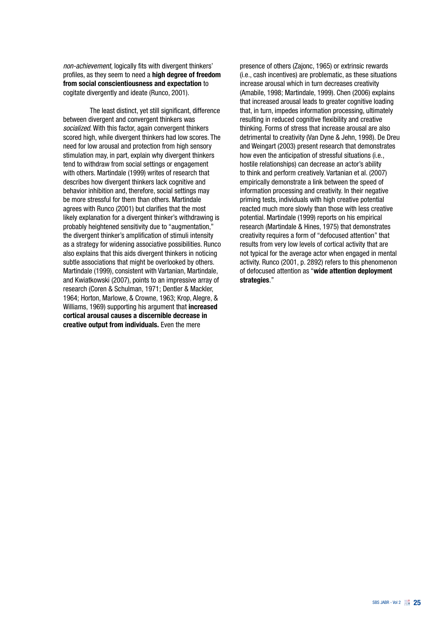*non-achievement*, logically fits with divergent thinkers' profiles, as they seem to need a high degree of freedom from social conscientiousness and expectation to cogitate divergently and ideate (Runco, 2001).

The least distinct, yet still significant, difference between divergent and convergent thinkers was *socialized*. With this factor, again convergent thinkers scored high, while divergent thinkers had low scores. The need for low arousal and protection from high sensory stimulation may, in part, explain why divergent thinkers tend to withdraw from social settings or engagement with others. Martindale (1999) writes of research that describes how divergent thinkers lack cognitive and behavior inhibition and, therefore, social settings may be more stressful for them than others. Martindale agrees with Runco (2001) but clarifies that the most likely explanation for a divergent thinker's withdrawing is probably heightened sensitivity due to "augmentation," the divergent thinker's amplification of stimuli intensity as a strategy for widening associative possibilities. Runco also explains that this aids divergent thinkers in noticing subtle associations that might be overlooked by others. Martindale (1999), consistent with Vartanian, Martindale, and Kwiatkowski (2007), points to an impressive array of research (Coren & Schulman, 1971; Dentler & Mackler, 1964; Horton, Marlowe, & Crowne, 1963; Krop, Alegre, & Williams, 1969) supporting his argument that **increased** cortical arousal causes a discernible decrease in creative output from individuals. Even the mere

presence of others (Zajonc, 1965) or extrinsic rewards (i.e., cash incentives) are problematic, as these situations increase arousal which in turn decreases creativity (Amabile, 1998; Martindale, 1999). Chen (2006) explains that increased arousal leads to greater cognitive loading that, in turn, impedes information processing, ultimately resulting in reduced cognitive flexibility and creative thinking. Forms of stress that increase arousal are also detrimental to creativity (Van Dyne & Jehn, 1998). De Dreu and Weingart (2003) present research that demonstrates how even the anticipation of stressful situations (i.e., hostile relationships) can decrease an actor's ability to think and perform creatively. Vartanian et al. (2007) empirically demonstrate a link between the speed of information processing and creativity. In their negative priming tests, individuals with high creative potential reacted much more slowly than those with less creative potential. Martindale (1999) reports on his empirical research (Martindale & Hines, 1975) that demonstrates creativity requires a form of "defocused attention" that results from very low levels of cortical activity that are not typical for the average actor when engaged in mental activity. Runco (2001, p. 2892) refers to this phenomenon of defocused attention as "wide attention deployment strategies."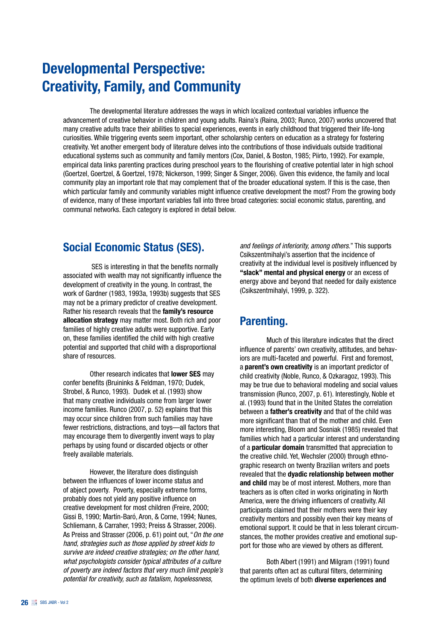## Developmental Perspective: Creativity, Family, and Community

The developmental literature addresses the ways in which localized contextual variables influence the advancement of creative behavior in children and young adults. Raina's (Raina, 2003; Runco, 2007) works uncovered that many creative adults trace their abilities to special experiences, events in early childhood that triggered their life-long curiosities. While triggering events seem important, other scholarship centers on education as a strategy for fostering creativity. Yet another emergent body of literature delves into the contributions of those individuals outside traditional educational systems such as community and family mentors (Cox, Daniel, & Boston, 1985; Piirto, 1992). For example, empirical data links parenting practices during preschool years to the flourishing of creative potential later in high school (Goertzel, Goertzel, & Goertzel, 1978; Nickerson, 1999; Singer & Singer, 2006). Given this evidence, the family and local community play an important role that may complement that of the broader educational system. If this is the case, then which particular family and community variables might influence creative development the most? From the growing body of evidence, many of these important variables fall into three broad categories: social economic status, parenting, and communal networks. Each category is explored in detail below.

### Social Economic Status (SES).

 SES is interesting in that the benefits normally associated with wealth may not significantly influence the development of creativity in the young. In contrast, the work of Gardner (1983, 1993a, 1993b) suggests that SES may not be a primary predictor of creative development. Rather his research reveals that the family's resource allocation strategy may matter most. Both rich and poor families of highly creative adults were supportive. Early on, these families identified the child with high creative potential and supported that child with a disproportional share of resources.

Other research indicates that lower SES may confer benefits (Bruininks & Feldman, 1970; Dudek, Strobel, & Runco, 1993). Dudek et al. (1993) show that many creative individuals come from larger lower income families. Runco (2007, p. 52) explains that this may occur since children from such families may have fewer restrictions, distractions, and toys—all factors that may encourage them to divergently invent ways to play perhaps by using found or discarded objects or other freely available materials.

However, the literature does distinguish between the influences of lower income status and of abject poverty. Poverty, especially extreme forms, probably does not yield any positive influence on creative development for most children (Freire, 2000; Gissi B, 1990; Martín-Baró, Aron, & Corne, 1994; Nunes, Schliemann, & Carraher, 1993; Preiss & Strasser, 2006). As Preiss and Strasser (2006, p. 61) point out, "*On the one hand, strategies such as those applied by street kids to survive are indeed creative strategies; on the other hand, what psychologists consider typical attributes of a culture of poverty are indeed factors that very much limit people's potential for creativity, such as fatalism, hopelessness,* 

*and feelings of inferiority, among others*." This supports Csikszentmihalyi's assertion that the incidence of creativity at the individual level is positively influenced by "slack" mental and physical energy or an excess of energy above and beyond that needed for daily existence (Csikszentmihalyi, 1999, p. 322).

### Parenting.

Much of this literature indicates that the direct influence of parents' own creativity, attitudes, and behaviors are multi-faceted and powerful. First and foremost, a parent's own creativity is an important predictor of child creativity (Noble, Runco, & Ozkaragoz, 1993). This may be true due to behavioral modeling and social values transmission (Runco, 2007, p. 61). Interestingly, Noble et al. (1993) found that in the United States the correlation between a father's creativity and that of the child was more significant than that of the mother and child. Even more interesting, Bloom and Sosniak (1985) revealed that families which had a particular interest and understanding of a particular domain transmitted that appreciation to the creative child. Yet, Wechsler (2000) through ethnographic research on twenty Brazilian writers and poets revealed that the dyadic relationship between mother and child may be of most interest. Mothers, more than teachers as is often cited in works originating in North America, were the driving influencers of creativity. All participants claimed that their mothers were their key creativity mentors and possibly even their key means of emotional support. It could be that in less tolerant circumstances, the mother provides creative and emotional support for those who are viewed by others as different.

Both Albert (1991) and Milgram (1991) found that parents often act as cultural filters, determining the optimum levels of both diverse experiences and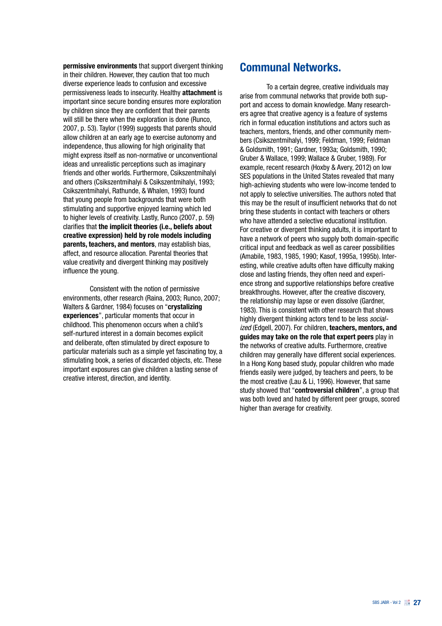permissive environments that support divergent thinking in their children. However, they caution that too much diverse experience leads to confusion and excessive permissiveness leads to insecurity. Healthy attachment is important since secure bonding ensures more exploration by children since they are confident that their parents will still be there when the exploration is done (Runco, 2007, p. 53). Taylor (1999) suggests that parents should allow children at an early age to exercise autonomy and independence, thus allowing for high originality that might express itself as non-normative or unconventional ideas and unrealistic perceptions such as imaginary friends and other worlds. Furthermore, Csikszentmihalyi and others (Csikszentmihalyi & Csikszentmihalyi, 1993; Csikszentmihalyi, Rathunde, & Whalen, 1993) found that young people from backgrounds that were both stimulating and supportive enjoyed learning which led to higher levels of creativity. Lastly, Runco (2007, p. 59) clarifies that the implicit theories (i.e., beliefs about creative expression) held by role models including parents, teachers, and mentors, may establish bias, affect, and resource allocation. Parental theories that value creativity and divergent thinking may positively influence the young.

Consistent with the notion of permissive environments, other research (Raina, 2003; Runco, 2007; Walters & Gardner, 1984) focuses on "crystalizing experiences", particular moments that occur in childhood. This phenomenon occurs when a child's self-nurtured interest in a domain becomes explicit and deliberate, often stimulated by direct exposure to particular materials such as a simple yet fascinating toy, a stimulating book, a series of discarded objects, etc. These important exposures can give children a lasting sense of creative interest, direction, and identity.

#### Communal Networks.

To a certain degree, creative individuals may arise from communal networks that provide both support and access to domain knowledge. Many researchers agree that creative agency is a feature of systems rich in formal education institutions and actors such as teachers, mentors, friends, and other community members (Csikszentmihalyi, 1999; Feldman, 1999; Feldman & Goldsmith, 1991; Gardner, 1993a; Goldsmith, 1990; Gruber & Wallace, 1999; Wallace & Gruber, 1989). For example, recent research (Hoxby & Avery, 2012) on low SES populations in the United States revealed that many high-achieving students who were low-income tended to not apply to selective universities. The authors noted that this may be the result of insufficient networks that do not bring these students in contact with teachers or others who have attended a selective educational institution. For creative or divergent thinking adults, it is important to have a network of peers who supply both domain-specific critical input and feedback as well as career possibilities (Amabile, 1983, 1985, 1990; Kasof, 1995a, 1995b). Interesting, while creative adults often have difficulty making close and lasting friends, they often need and experience strong and supportive relationships before creative breakthroughs. However, after the creative discovery, the relationship may lapse or even dissolve (Gardner, 1983). This is consistent with other research that shows highly divergent thinking actors tend to be less *socialized* (Edgell, 2007). For children, teachers, mentors, and guides may take on the role that expert peers play in the networks of creative adults. Furthermore, creative children may generally have different social experiences. In a Hong Kong based study, popular children who made friends easily were judged, by teachers and peers, to be the most creative (Lau & Li, 1996). However, that same study showed that "controversial children", a group that was both loved and hated by different peer groups, scored higher than average for creativity.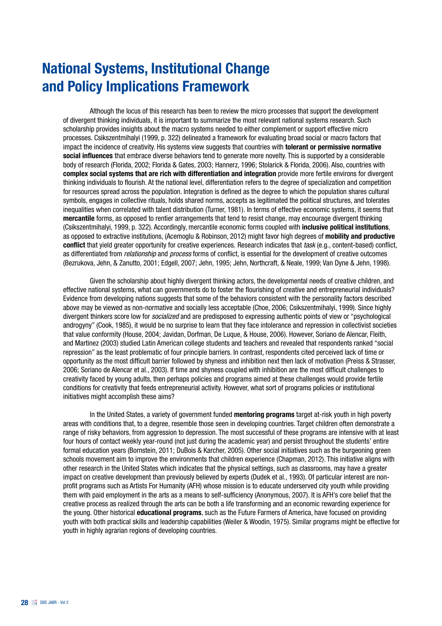## National Systems, Institutional Change and Policy Implications Framework

Although the locus of this research has been to review the micro processes that support the development of divergent thinking individuals, it is important to summarize the most relevant national systems research. Such scholarship provides insights about the macro systems needed to either complement or support effective micro processes. Csikszentmihalyi (1999, p. 322) delineated a framework for evaluating broad social or macro factors that impact the incidence of creativity. His systems view suggests that countries with **tolerant or permissive normative** social influences that embrace diverse behaviors tend to generate more novelty. This is supported by a considerable body of research (Florida, 2002; Florida & Gates, 2003; Hannerz, 1996; Stolarick & Florida, 2006). Also, countries with complex social systems that are rich with differentiation and integration provide more fertile environs for divergent thinking individuals to flourish. At the national level, differentiation refers to the degree of specialization and competition for resources spread across the population. Integration is defined as the degree to which the population shares cultural symbols, engages in collective rituals, holds shared norms, accepts as legitimated the political structures, and tolerates inequalities when correlated with talent distribution (Turner, 1981). In terms of effective economic systems, it seems that mercantile forms, as opposed to rentier arrangements that tend to resist change, may encourage divergent thinking (Csikszentmihalyi, 1999, p. 322). Accordingly, mercantile economic forms coupled with inclusive political institutions, as opposed to extractive institutions, (Acemoglu & Robinson, 2012) might favor high degrees of mobility and productive conflict that yield greater opportunity for creative experiences. Research indicates that *task* (e.g., content-based) conflict, as differentiated from *relationship* and *process* forms of conflict, is essential for the development of creative outcomes (Bezrukova, Jehn, & Zanutto, 2001; Edgell, 2007; Jehn, 1995; Jehn, Northcraft, & Neale, 1999; Van Dyne & Jehn, 1998).

Given the scholarship about highly divergent thinking actors, the developmental needs of creative children, and effective national systems, what can governments do to foster the flourishing of creative and entrepreneurial individuals? Evidence from developing nations suggests that some of the behaviors consistent with the personality factors described above may be viewed as non-normative and socially less acceptable (Choe, 2006; Csikszentmihalyi, 1999). Since highly divergent thinkers score low for *socialized* and are predisposed to expressing authentic points of view or "psychological androgyny" (Cook, 1985), it would be no surprise to learn that they face intolerance and repression in collectivist societies that value conformity (House, 2004; Javidan, Dorfman, De Luque, & House, 2006). However, Soriano de Alencar, Fleith, and Martinez (2003) studied Latin American college students and teachers and revealed that respondents ranked "social repression" as the least problematic of four principle barriers. In contrast, respondents cited perceived lack of time or opportunity as the most difficult barrier followed by shyness and inhibition next then lack of motivation (Preiss & Strasser, 2006; Soriano de Alencar et al., 2003). If time and shyness coupled with inhibition are the most difficult challenges to creativity faced by young adults, then perhaps policies and programs aimed at these challenges would provide fertile conditions for creativity that feeds entrepreneurial activity. However, what sort of programs policies or institutional initiatives might accomplish these aims?

In the United States, a variety of government funded mentoring programs target at-risk youth in high poverty areas with conditions that, to a degree, resemble those seen in developing countries. Target children often demonstrate a range of risky behaviors, from aggression to depression. The most successful of these programs are intensive with at least four hours of contact weekly year-round (not just during the academic year) and persist throughout the students' entire formal education years (Bornstein, 2011; DuBois & Karcher, 2005). Other social initiatives such as the burgeoning green schools movement aim to improve the environments that children experience (Chapman, 2012). This initiative aligns with other research in the United States which indicates that the physical settings, such as classrooms, may have a greater impact on creative development than previously believed by experts (Dudek et al., 1993). Of particular interest are nonprofit programs such as Artists For Humanity (AFH) whose mission is to educate underserved city youth while providing them with paid employment in the arts as a means to self-sufficiency (Anonymous, 2007). It is AFH's core belief that the creative process as realized through the arts can be both a life transforming and an economic rewarding experience for the young. Other historical educational programs, such as the Future Farmers of America, have focused on providing youth with both practical skills and leadership capabilities (Weiler & Woodin, 1975). Similar programs might be effective for youth in highly agrarian regions of developing countries.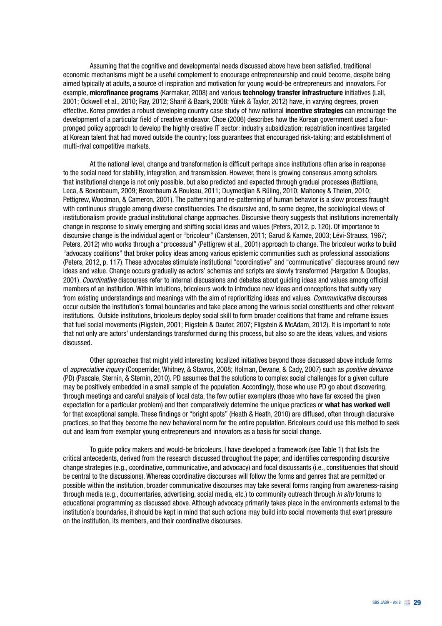Assuming that the cognitive and developmental needs discussed above have been satisfied, traditional economic mechanisms might be a useful complement to encourage entrepreneurship and could become, despite being aimed typically at adults, a source of inspiration and motivation for young would-be entrepreneurs and innovators. For example, microfinance programs (Karmakar, 2008) and various technology transfer infrastructure initiatives (Lall, 2001; Ockwell et al., 2010; Ray, 2012; Sharif & Baark, 2008; Yülek & Taylor, 2012) have, in varying degrees, proven effective. Korea provides a robust developing country case study of how national incentive strategies can encourage the development of a particular field of creative endeavor. Choe (2006) describes how the Korean government used a fourpronged policy approach to develop the highly creative IT sector: industry subsidization; repatriation incentives targeted at Korean talent that had moved outside the country; loss guarantees that encouraged risk-taking; and establishment of multi-rival competitive markets.

At the national level, change and transformation is difficult perhaps since institutions often arise in response to the social need for stability, integration, and transmission. However, there is growing consensus among scholars that institutional change is not only possible, but also predicted and expected through gradual processes (Battilana, Leca, & Boxenbaum, 2009; Boxenbaum & Rouleau, 2011; Duymedjian & Rüling, 2010; Mahoney & Thelen, 2010; Pettigrew, Woodman, & Cameron, 2001). The patterning and re-patterning of human behavior is a slow process fraught with continuous struggle among diverse constituencies. The discursive and, to some degree, the sociological views of institutionalism provide gradual institutional change approaches. Discursive theory suggests that institutions incrementally change in response to slowly emerging and shifting social ideas and values (Peters, 2012, p. 120). Of importance to discursive change is the individual agent or "bricoleur" (Carstensen, 2011; Garud & Karnøe, 2003; Lévi-Strauss, 1967; Peters, 2012) who works through a "processual" (Pettigrew et al., 2001) approach to change. The bricoleur works to build "advocacy coalitions" that broker policy ideas among various epistemic communities such as professional associations (Peters, 2012, p. 117). These advocates stimulate institutional "coordinative" and "communicative" discourses around new ideas and value. Change occurs gradually as actors' schemas and scripts are slowly transformed (Hargadon & Douglas, 2001). *Coordinative* discourses refer to internal discussions and debates about guiding ideas and values among official members of an institution. Within intuitions, bricoleurs work to introduce new ideas and conceptions that subtly vary from existing understandings and meanings with the aim of reprioritizing ideas and values. *Communicative* discourses occur outside the institution's formal boundaries and take place among the various social constituents and other relevant institutions. Outside institutions, bricoleurs deploy social skill to form broader coalitions that frame and reframe issues that fuel social movements (Fligstein, 2001; Fligstein & Dauter, 2007; Fligstein & McAdam, 2012). It is important to note that not only are actors' understandings transformed during this process, but also so are the ideas, values, and visions discussed.

Other approaches that might yield interesting localized initiatives beyond those discussed above include forms of *appreciative inquiry* (Cooperrider, Whitney, & Stavros, 2008; Holman, Devane, & Cady, 2007) such as *positive deviance* (PD) (Pascale, Sternin, & Sternin, 2010). PD assumes that the solutions to complex social challenges for a given culture may be positively embedded in a small sample of the population. Accordingly, those who use PD go about discovering, through meetings and careful analysis of local data, the few outlier exemplars (those who have far exceed the given expectation for a particular problem) and then comparatively determine the unique practices or what has worked well for that exceptional sample. These findings or "bright spots" (Heath & Heath, 2010) are diffused, often through discursive practices, so that they become the new behavioral norm for the entire population. Bricoleurs could use this method to seek out and learn from exemplar young entrepreneurs and innovators as a basis for social change.

To guide policy makers and would-be bricoleurs, I have developed a framework (see Table 1) that lists the critical antecedents, derived from the research discussed throughout the paper, and identifies corresponding discursive change strategies (e.g., coordinative, communicative, and advocacy) and focal discussants (i.e., constituencies that should be central to the discussions). Whereas coordinative discourses will follow the forms and genres that are permitted or possible within the institution, broader communicative discourses may take several forms ranging from awareness-raising through media (e.g., documentaries, advertising, social media, etc.) to community outreach through *in situ* forums to educational programming as discussed above. Although advocacy primarily takes place in the environments external to the institution's boundaries, it should be kept in mind that such actions may build into social movements that exert pressure on the institution, its members, and their coordinative discourses.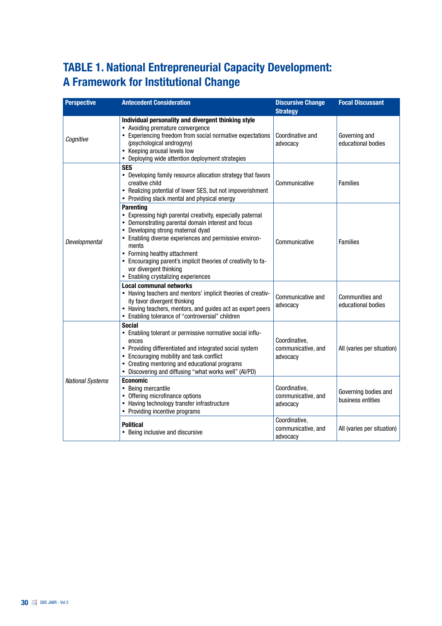### TABLE 1. National Entrepreneurial Capacity Development: A Framework for Institutional Change

| <b>Perspective</b>      | <b>Antecedent Consideration</b>                                                                                                                                                                                                                                                                                                                                                                                | <b>Discursive Change</b><br><b>Strategy</b>     | <b>Focal Discussant</b>                   |
|-------------------------|----------------------------------------------------------------------------------------------------------------------------------------------------------------------------------------------------------------------------------------------------------------------------------------------------------------------------------------------------------------------------------------------------------------|-------------------------------------------------|-------------------------------------------|
| Cognitive               | Individual personality and divergent thinking style<br>• Avoiding premature convergence<br>• Experiencing freedom from social normative expectations<br>(psychological androgyny)<br>• Keeping arousal levels low<br>• Deploying wide attention deployment strategies                                                                                                                                          | Coordinative and<br>advocacy                    | Governing and<br>educational bodies       |
| Developmental           | <b>SES</b><br>• Developing family resource allocation strategy that favors<br>creative child<br>• Realizing potential of lower SES, but not impoverishment<br>• Providing slack mental and physical energy                                                                                                                                                                                                     | Communicative                                   | <b>Families</b>                           |
|                         | <b>Parenting</b><br>• Expressing high parental creativity, especially paternal<br>• Demonstrating parental domain interest and focus<br>• Developing strong maternal dyad<br>• Enabling diverse experiences and permissive environ-<br>ments<br>• Forming healthy attachment<br>• Encouraging parent's implicit theories of creativity to fa-<br>vor divergent thinking<br>• Enabling crystalizing experiences | Communicative                                   | <b>Families</b>                           |
|                         | <b>Local communal networks</b><br>• Having teachers and mentors' implicit theories of creativ-<br>ity favor divergent thinking<br>• Having teachers, mentors, and guides act as expert peers<br>• Enabling tolerance of "controversial" children                                                                                                                                                               | Communicative and<br>advocacy                   | Communities and<br>educational bodies     |
| <b>National Systems</b> | <b>Social</b><br>• Enabling tolerant or permissive normative social influ-<br>ences<br>• Providing differentiated and integrated social system<br>• Encouraging mobility and task conflict<br>• Creating mentoring and educational programs<br>• Discovering and diffusing "what works well" (Al/PD)                                                                                                           | Coordinative,<br>communicative, and<br>advocacy | All (varies per situation)                |
|                         | <b>Economic</b><br>• Being mercantile<br>• Offering microfinance options<br>• Having technology transfer infrastructure<br>• Providing incentive programs                                                                                                                                                                                                                                                      | Coordinative,<br>communicative, and<br>advocacy | Governing bodies and<br>business entities |
|                         | <b>Political</b><br>• Being inclusive and discursive                                                                                                                                                                                                                                                                                                                                                           | Coordinative,<br>communicative, and<br>advocacy | All (varies per situation)                |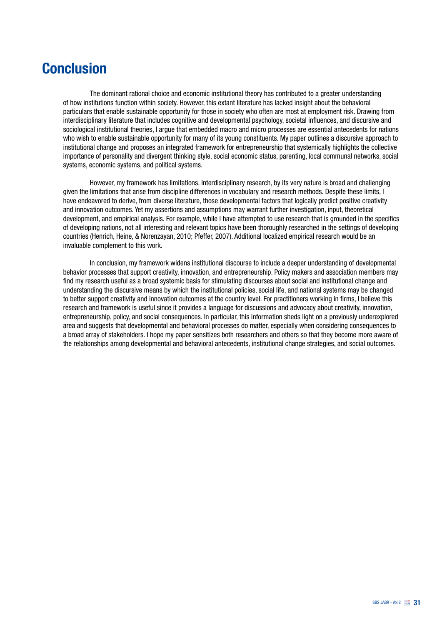## **Conclusion**

The dominant rational choice and economic institutional theory has contributed to a greater understanding of how institutions function within society. However, this extant literature has lacked insight about the behavioral particulars that enable sustainable opportunity for those in society who often are most at employment risk. Drawing from interdisciplinary literature that includes cognitive and developmental psychology, societal influences, and discursive and sociological institutional theories. I argue that embedded macro and micro processes are essential antecedents for nations who wish to enable sustainable opportunity for many of its young constituents. My paper outlines a discursive approach to institutional change and proposes an integrated framework for entrepreneurship that systemically highlights the collective importance of personality and divergent thinking style, social economic status, parenting, local communal networks, social systems, economic systems, and political systems.

However, my framework has limitations. Interdisciplinary research, by its very nature is broad and challenging given the limitations that arise from discipline differences in vocabulary and research methods. Despite these limits, I have endeavored to derive, from diverse literature, those developmental factors that logically predict positive creativity and innovation outcomes. Yet my assertions and assumptions may warrant further investigation, input, theoretical development, and empirical analysis. For example, while I have attempted to use research that is grounded in the specifics of developing nations, not all interesting and relevant topics have been thoroughly researched in the settings of developing countries (Henrich, Heine, & Norenzayan, 2010; Pfeffer, 2007). Additional localized empirical research would be an invaluable complement to this work.

In conclusion, my framework widens institutional discourse to include a deeper understanding of developmental behavior processes that support creativity, innovation, and entrepreneurship. Policy makers and association members may find my research useful as a broad systemic basis for stimulating discourses about social and institutional change and understanding the discursive means by which the institutional policies, social life, and national systems may be changed to better support creativity and innovation outcomes at the country level. For practitioners working in firms, I believe this research and framework is useful since it provides a language for discussions and advocacy about creativity, innovation, entrepreneurship, policy, and social consequences. In particular, this information sheds light on a previously underexplored area and suggests that developmental and behavioral processes do matter, especially when considering consequences to a broad array of stakeholders. I hope my paper sensitizes both researchers and others so that they become more aware of the relationships among developmental and behavioral antecedents, institutional change strategies, and social outcomes.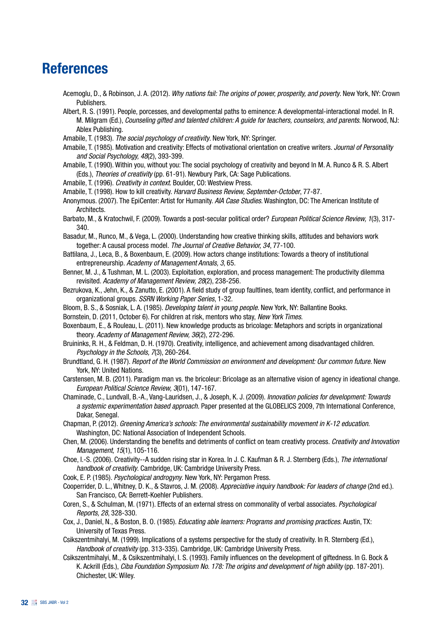## References

Acemoglu, D., & Robinson, J. A. (2012). *Why nations fail: The origins of power, prosperity, and poverty*. New York, NY: Crown Publishers.

Albert, R. S. (1991). People, porcesses, and developmental paths to eminence: A developmental-interactional model. In R. M. Milgram (Ed.), *Counseling gifted and talented children: A guide for teachers, counselors, and parents*. Norwood, NJ: Ablex Publishing.

- Amabile, T. (1983). *The social psychology of creativity*. New York, NY: Springer.
- Amabile, T. (1985). Motivation and creativity: Effects of motivational orientation on creative writers. *Journal of Personality and Social Psychology, 48*(2), 393-399.
- Amabile, T. (1990). Within you, without you: The social psychology of creativity and beyond In M. A. Runco & R. S. Albert (Eds.), *Theories of creativity* (pp. 61-91). Newbury Park, CA: Sage Publications.
- Amabile, T. (1996). *Creativity in context*. Boulder, CO: Westview Press.
- Amabile, T. (1998). How to kill creativity. *Harvard Business Review, September-October*, 77-87.
- Anonymous. (2007). The EpiCenter: Artist for Humanity. *AIA Case Studies*. Washington, DC: The American Institute of Architects.
- Barbato, M., & Kratochwil, F. (2009). Towards a post-secular political order? *European Political Science Review, 1*(3), 317- 340.
- Basadur, M., Runco, M., & Vega, L. (2000). Understanding how creative thinking skills, attitudes and behaviors work together: A causal process model. *The Journal of Creative Behavior, 34*, 77-100.
- Battilana, J., Leca, B., & Boxenbaum, E. (2009). How actors change institutions: Towards a theory of institutional entrepreneurship. *Academy of Management Annals, 3*, 65.
- Benner, M. J., & Tushman, M. L. (2003). Exploitation, exploration, and process management: The productivity dilemma revisited. *Academy of Management Review, 28*(2), 238-256.
- Bezrukova, K., Jehn, K., & Zanutto, E. (2001). A field study of group faultlines, team identity, conflict, and performance in organizational groups. *SSRN Working Paper Series*, 1-32.
- Bloom, B. S., & Sosniak, L. A. (1985). *Developing talent in young people*. New York, NY: Ballantine Books.
- Bornstein, D. (2011, October 6). For children at risk, mentors who stay, *New York Times*.
- Boxenbaum, E., & Rouleau, L. (2011). New knowledge products as bricolage: Metaphors and scripts in organizational theory. *Academy of Management Review, 36*(2), 272-296.
- Bruininks, R. H., & Feldman, D. H. (1970). Creativity, intelligence, and achievement among disadvantaged children. *Psychology in the Schools, 7*(3), 260-264.
- Brundtland, G. H. (1987). *Report of the World Commission on environment and development: Our common future*. New York, NY: United Nations.
- Carstensen, M. B. (2011). Paradigm man vs. the bricoleur: Bricolage as an alternative vision of agency in ideational change. *European Political Science Review, 3*(01), 147-167.
- Chaminade, C., Lundvall, B.-A., Vang-Lauridsen, J., & Joseph, K. J. (2009). *Innovation policies for development: Towards a systemic experimentation based approach.* Paper presented at the GLOBELICS 2009, 7th International Conference, Dakar, Senegal.
- Chapman, P. (2012). *Greening America's schools: The environmental sustainability movement in K-12 education*. Washington, DC: National Association of Independent Schools.
- Chen, M. (2006). Understanding the benefits and detriments of conflict on team creativty process. *Creativity and Innovation Management, 15*(1), 105-116.
- Choe, I.-S. (2006). Creativity--A sudden rising star in Korea. In J. C. Kaufman & R. J. Sternberg (Eds.), *The international handbook of creativity*. Cambridge, UK: Cambridge University Press.
- Cook, E. P. (1985). *Psychological androgyny*. New York, NY: Pergamon Press.
- Cooperrider, D. L., Whitney, D. K., & Stavros, J. M. (2008). *Appreciative inquiry handbook: For leaders of change* (2nd ed.). San Francisco, CA: Berrett-Koehler Publishers.
- Coren, S., & Schulman, M. (1971). Effects of an external stress on commonality of verbal associates. *Psychological Reports, 28*, 328-330.
- Cox, J., Daniel, N., & Boston, B. O. (1985). *Educating able learners: Programs and promising practices*. Austin, TX: University of Texas Press.
- Csikszentmihalyi, M. (1999). Implications of a systems perspective for the study of creativity. In R. Sternberg (Ed.), *Handbook of creativity* (pp. 313-335). Cambridge, UK: Cambridge University Press.
- Csikszentmihalyi, M., & Csikszentmihalyi, I. S. (1993). Family influences on the development of giftedness. In G. Bock & K. Ackrill (Eds.), *Ciba Foundation Symposium No. 178: The origins and development of high ability* (pp. 187-201). Chichester, UK: Wiley.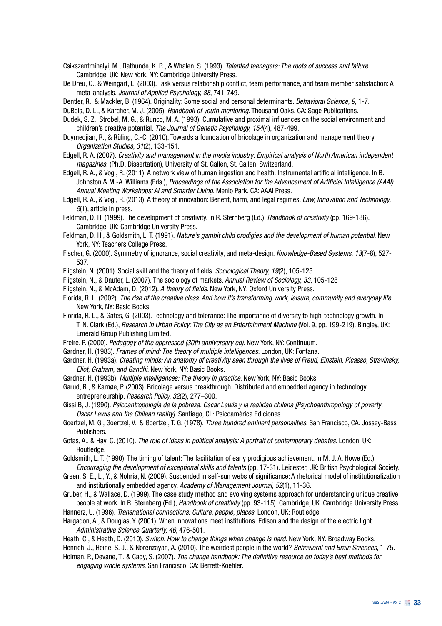Csikszentmihalyi, M., Rathunde, K. R., & Whalen, S. (1993). *Talented teenagers: The roots of success and failure*. Cambridge, UK; New York, NY: Cambridge University Press.

De Dreu, C., & Weingart, L. (2003). Task versus relationship conflict, team performance, and team member satisfaction: A meta-analysis. *Journal of Applied Psychology, 88*, 741-749.

Dentler, R., & Mackler, B. (1964). Originality: Some social and personal determinants. *Behavioral Science, 9*, 1-7.

DuBois, D. L., & Karcher, M. J. (2005). *Handbook of youth mentoring*. Thousand Oaks, CA: Sage Publications.

Dudek, S. Z., Strobel, M. G., & Runco, M. A. (1993). Cumulative and proximal influences on the social environment and children's creative potential. *The Journal of Genetic Psychology, 154*(4), 487-499.

Duymedjian, R., & Rüling, C.-C. (2010). Towards a foundation of bricolage in organization and management theory. *Organization Studies, 31*(2), 133-151.

Edgell, R. A. (2007). *Creativity and management in the media industry: Empirical analysis of North American independent magazines.* (Ph.D. Dissertation), University of St. Gallen, St. Gallen, Switzerland.

Edgell, R. A., & Vogl, R. (2011). A network view of human ingestion and health: Instrumental artificial intelligence. In B. Johnston & M.-A. Williams (Eds.), *Proceedings of the Association for the Advancement of Artificial Intelligence (AAAI) Annual Meeting Workshops: AI and Smarter Living*. Menlo Park. CA: AAAI Press.

Edgell, R. A., & Vogl, R. (2013). A theory of innovation: Benefit, harm, and legal regimes. *Law, Innovation and Technology, 5*(1), article in press.

Feldman, D. H. (1999). The development of creativity. In R. Sternberg (Ed.), *Handbook of creativity* (pp. 169-186). Cambridge, UK: Cambridge University Press.

Feldman, D. H., & Goldsmith, L. T. (1991). *Nature's gambit child prodigies and the development of human potential*. New York, NY: Teachers College Press.

Fischer, G. (2000). Symmetry of ignorance, social creativity, and meta-design. *Knowledge-Based Systems, 13*(7-8), 527- 537.

Fligstein, N. (2001). Social skill and the theory of fields. *Sociological Theory, 19*(2), 105-125.

Fligstein, N., & Dauter, L. (2007). The sociology of markets. *Annual Review of Sociology, 33*, 105-128

Fligstein, N., & McAdam, D. (2012). *A theory of fields*. New York, NY: Oxford University Press.

Florida, R. L. (2002). *The rise of the creative class: And how it's transforming work, leisure, community and everyday life*. New York, NY: Basic Books.

Florida, R. L., & Gates, G. (2003). Technology and tolerance: The importance of diversity to high-technology growth. In T. N. Clark (Ed.), *Research in Urban Policy: The City as an Entertainment Machine* (Vol. 9, pp. 199-219). Bingley, UK: Emerald Group Publishing Limited.

Freire, P. (2000). *Pedagogy of the oppressed (30th anniversary ed)*. New York, NY: Continuum.

Gardner, H. (1983). *Frames of mind: The theory of multiple intelligences*. London, UK: Fontana.

Gardner, H. (1993a). *Creating minds: An anatomy of creativity seen through the lives of Freud, Einstein, Picasso, Stravinsky, Eliot, Graham, and Gandhi*. New York, NY: Basic Books.

Gardner, H. (1993b). *Multiple intelligences: The theory in practice*. New York, NY: Basic Books.

Garud, R., & Karnøe, P. (2003). Bricolage versus breakthrough: Distributed and embedded agency in technology entrepreneurship. *Research Policy, 32*(2), 277–300.

Gissi B, J. (1990). *Psicoantropología de la pobreza: Oscar Lewis y la realidad chilena [Psychoanthropology of poverty: Oscar Lewis and the Chilean reality]*. Santiago, CL: Psicoamérica Ediciones.

Goertzel, M. G., Goertzel, V., & Goertzel, T. G. (1978). *Three hundred eminent personalities*. San Francisco, CA: Jossey-Bass Publishers.

Gofas, A., & Hay, C. (2010). *The role of ideas in political analysis: A portrait of contemporary debates*. London, UK: Routledge.

Goldsmith, L. T. (1990). The timing of talent: The facilitation of early prodigious achievement. In M. J. A. Howe (Ed.), *Encouraging the development of exceptional skills and talents* (pp. 17-31). Leicester, UK: British Psychological Society.

Green, S. E., Li, Y., & Nohria, N. (2009). Suspended in self-sun webs of significance: A rhetorical model of institutionalization and institutionally embedded agency. *Academy of Management Journal, 52*(1), 11-36.

Gruber, H., & Wallace, D. (1999). The case study method and evolving systems approach for understanding unique creative people at work. In R. Sternberg (Ed.), *Handbook of creativity* (pp. 93-115). Cambridge, UK: Cambridge University Press.

Hannerz, U. (1996). *Transnational connections: Culture, people, places*. London, UK: Routledge.

Hargadon, A., & Douglas, Y. (2001). When innovations meet institutions: Edison and the design of the electric light. *Administrative Science Quarterly, 46*, 476-501.

Heath, C., & Heath, D. (2010). *Switch: How to change things when change is hard*. New York, NY: Broadway Books.

Henrich, J., Heine, S. J., & Norenzayan, A. (2010). The weirdest people in the world? *Behavioral and Brain Sciences*, 1-75.

Holman, P., Devane, T., & Cady, S. (2007). *The change handbook: The definitive resource on today's best methods for engaging whole systems*. San Francisco, CA: Berrett-Koehler.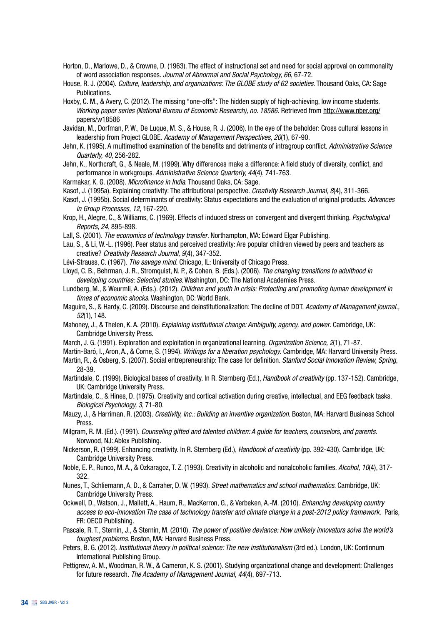- Horton, D., Marlowe, D., & Crowne, D. (1963). The effect of instructional set and need for social approval on commonality of word association responses. *Journal of Abnormal and Social Psychology, 66*, 67-72.
- House, R. J. (2004). *Culture, leadership, and organizations: The GLOBE study of 62 societies*. Thousand Oaks, CA: Sage Publications.
- Hoxby, C. M., & Avery, C. (2012). The missing "one-offs": The hidden supply of high-achieving, low income students. *Working paper series (National Bureau of Economic Research), no. 18586.* Retrieved from http://www.nber.org/ papers/w18586
- Javidan, M., Dorfman, P. W., De Luque, M. S., & House, R. J. (2006). In the eye of the beholder: Cross cultural lessons in leadership from Project GLOBE. *Academy of Management Perspectives, 20*(1), 67-90.
- Jehn, K. (1995). A multimethod examination of the benefits and detriments of intragroup conflict. *Administrative Science Quarterly, 40*, 256-282.
- Jehn, K., Northcraft, G., & Neale, M. (1999). Why differences make a difference: A field study of diversity, conflict, and performance in workgroups. *Administrative Science Quarterly, 44*(4), 741-763.
- Karmakar, K. G. (2008). *Microfinance in India*. Thousand Oaks, CA: Sage.
- Kasof, J. (1995a). Explaining creativity: The attributional perspective. *Creativity Research Journal, 8*(4), 311-366.
- Kasof, J. (1995b). Social determinants of creativity: Status expectations and the evaluation of original products. *Advances in Group Processes, 12*, 167-220.
- Krop, H., Alegre, C., & Williams, C. (1969). Effects of induced stress on convergent and divergent thinking. *Psychological Reports, 24*, 895-898.
- Lall, S. (2001). *The economics of technology transfer*. Northampton, MA: Edward Elgar Publishing.
- Lau, S., & Li, W.-L. (1996). Peer status and perceived creativity: Are popular children viewed by peers and teachers as creative? *Creativity Research Journal, 9*(4), 347-352.
- Lévi-Strauss, C. (1967). *The savage mind*. Chicago, IL: University of Chicago Press.
- Lloyd, C. B., Behrman, J. R., Stromquist, N. P., & Cohen, B. (Eds.). (2006). *The changing transitions to adulthood in developing countries: Selected studies*. Washington, DC: The National Academies Press.
- Lundberg, M., & Weurmli, A. (Eds.). (2012). *Children and youth in crisis: Protecting and promoting human development in times of economic shocks*. Washington, DC: World Bank.
- Maguire, S., & Hardy, C. (2009). Discourse and deinstitutionalization: The decline of DDT. *Academy of Management journal., 52*(1), 148.
- Mahoney, J., & Thelen, K. A. (2010). *Explaining institutional change: Ambiguity, agency, and power*. Cambridge, UK: Cambridge University Press.
- March, J. G. (1991). Exploration and exploitation in organizational learning. *Organization Science, 2*(1), 71-87.
- Martín-Baró, I., Aron, A., & Corne, S. (1994). *Writings for a liberation psychology*. Cambridge, MA: Harvard University Press.
- Martin, R., & Osberg, S. (2007). Social entrepreneurship: The case for definition. *Stanford Social Innovation Review, Spring*, 28-39.
- Martindale, C. (1999). Biological bases of creativity. In R. Sternberg (Ed.), *Handbook of creativity* (pp. 137-152). Cambridge, UK: Cambridge University Press.
- Martindale, C., & Hines, D. (1975). Creativity and cortical activation during creative, intellectual, and EEG feedback tasks. *Biological Psychology, 3*, 71-80.

Mauzy, J., & Harriman, R. (2003). *Creativity, Inc.: Building an inventive organization*. Boston, MA: Harvard Business School Press.

- Milgram, R. M. (Ed.). (1991). *Counseling gifted and talented children: A guide for teachers, counselors, and parents*. Norwood, NJ: Ablex Publishing.
- Nickerson, R. (1999). Enhancing creativity. In R. Sternberg (Ed.), *Handbook of creativity* (pp. 392-430). Cambridge, UK: Cambridge University Press.
- Noble, E. P., Runco, M. A., & Ozkaragoz, T. Z. (1993). Creativity in alcoholic and nonalcoholic families. *Alcohol, 10*(4), 317- 322.
- Nunes, T., Schliemann, A. D., & Carraher, D. W. (1993). *Street mathematics and school mathematics*. Cambridge, UK: Cambridge University Press.
- Ockwell, D., Watson, J., Mallett, A., Haum, R., MacKerron, G., & Verbeken, A.-M. (2010). *Enhancing developing country access to eco-innovation The case of technology transfer and climate change in a post-2012 policy framework*. Paris, FR: OECD Publishing.
- Pascale, R. T., Sternin, J., & Sternin, M. (2010). *The power of positive deviance: How unlikely innovators solve the world's toughest problems*. Boston, MA: Harvard Business Press.
- Peters, B. G. (2012). *Institutional theory in political science: The new institutionalism* (3rd ed.). London, UK: Continnum International Publishing Group.
- Pettigrew, A. M., Woodman, R. W., & Cameron, K. S. (2001). Studying organizational change and development: Challenges for future research. *The Academy of Management Journal, 44*(4), 697-713.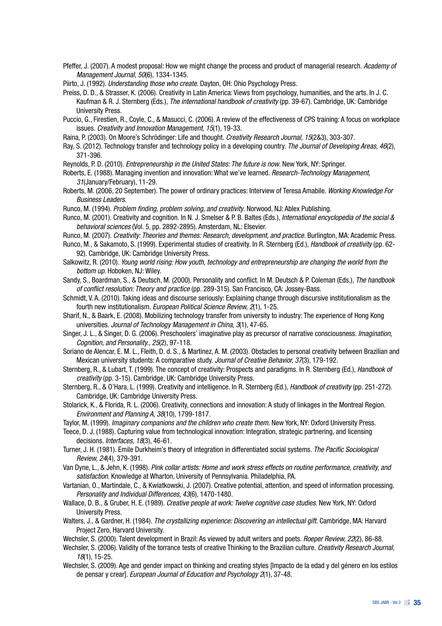- Pfeffer, J. (2007). A modest proposal: How we might change the process and product of managerial research. *Academy of Management Journal, 50*(6), 1334-1345.
- Piirto, J. (1992). *Understanding those who create*. Dayton, OH: Ohio Psychology Press.
- Preiss, D. D., & Strasser, K. (2006). Creativity in Latin America: Views from psychology, humanities, and the arts. In J. C. Kaufman & R. J. Sternberg (Eds.), *The international handbook of creativity* (pp. 39-67). Cambridge, UK: Cambridge University Press.
- Puccio, G., Firestien, R., Coyle, C., & Masucci, C. (2006). A review of the effectiveness of CPS training: A focus on workplace issues. *Creativity and Innovation Management, 15*(1), 19-33.
- Raina, P. (2003). On Moore's Schrödinger: Life and thought. *Creativity Research Journal, 15*(2&3), 303-307.
- Ray, S. (2012). Technology transfer and technology policy in a developing country. *The Journal of Developing Areas, 46*(2), 371-396.
- Reynolds, P. D. (2010). *Entrepreneurship in the United States: The future is now*. New York, NY: Springer.
- Roberts, E. (1988). Managing invention and innovation: What we've learned. *Research-Technology Management, 31*(January/February), 11-29.
- Roberts, M. (2006, 20 September). The power of ordinary practices: Interview of Teresa Amabile. *Working Knowledge For Business Leaders*.
- Runco, M. (1994). *Problem finding, problem solving, and creativity*. Norwood, NJ: Ablex Publishing.
- Runco, M. (2001). Creativity and cognition. In N. J. Smelser & P. B. Baltes (Eds.), *International encyclopedia of the social & behavioral sciences* (Vol. 5, pp. 2892-2895). Amsterdam, NL: Elsevier.
- Runco, M. (2007). *Creativity: Theories and themes: Research, development, and practice*. Burlington, MA: Academic Press.
- Runco, M., & Sakamoto, S. (1999). Experimental studies of creativity. In R. Sternberg (Ed.), *Handbook of creativity* (pp. 62- 92). Cambridge, UK: Cambridge University Press.
- Salkowitz, R. (2010). *Young world rising: How youth, technology and entrepreneurship are changing the world from the bottom up*. Hoboken, NJ: Wiley.
- Sandy, S., Boardman, S., & Deutsch, M. (2000). Personality and conflict. In M. Deutsch & P. Coleman (Eds.), *The handbook of conflict resolution: Theory and practice* (pp. 289-315). San Francisco, CA: Jossey-Bass.
- Schmidt, V. A. (2010). Taking ideas and discourse seriously: Explaining change through discursive institutionalism as the fourth new institutionalism. *European Political Science Review, 2*(1), 1-25.
- Sharif, N., & Baark, E. (2008). Mobilizing technology transfer from university to industry: The experience of Hong Kong universities. *Journal of Technology Management in China, 3*(1), 47-65.
- Singer, J. L., & Singer, D. G. (2006). Preschoolers' imaginative play as precursor of narrative consciousness. *Imagination, Cognition, and Personality., 25*(2), 97-118.
- Soriano de Alencar, E. M. L., Fleith, D. d. S., & Martinez, A. M. (2003). Obstacles to personal creativity between Brazilian and Mexican university students: A comparative study. *Journal of Creative Behavior, 37*(3), 179-192.
- Sternberg, R., & Lubart, T. (1999). The concept of creativity: Prospects and paradigms. In R. Sternberg (Ed.), *Handbook of creativity* (pp. 3-15). Cambridge, UK: Cambridge University Press.
- Sternberg, R., & O'Hara, L. (1999). Creativity and intelligence. In R. Sternberg (Ed.), *Handbook of creativity* (pp. 251-272). Cambridge, UK: Cambridge University Press.
- Stolarick, K., & Florida, R. L. (2006). Creativity, connections and innovation: A study of linkages in the Montreal Region. *Environment and Planning A, 38*(10), 1799-1817.
- Taylor, M. (1999). *Imaginary companions and the children who create them*. New York, NY: Oxford University Press.
- Teece, D. J. (1988). Capturing value from technological innovation: Integration, strategic partnering, and licensing decisions. *Interfaces, 18*(3), 46-61.
- Turner, J. H. (1981). Emile Durkheim's theory of integration in differentiated social systems. *The Pacific Sociological Review, 24*(4), 379-391.
- Van Dyne, L., & Jehn, K. (1998). *Pink collar artists: Home and work stress effects on routine performance, creativity, and satisfaction*. Knowledge at Wharton, University of Pennsylvania. Philadelphia, PA.
- Vartanian, O., Martindale, C., & Kwiatkowski, J. (2007). Creative potential, attention, and speed of information processing. *Personality and Individual Differences, 43*(6), 1470-1480.
- Wallace, D. B., & Gruber, H. E. (1989). *Creative people at work: Twelve cognitive case studies*. New York, NY: Oxford University Press.
- Walters, J., & Gardner, H. (1984). *The crystallizing experience: Discovering an intellectual gift*. Cambridge, MA: Harvard Project Zero, Harvard University.
- Wechsler, S. (2000). Talent development in Brazil: As viewed by adult writers and poets. *Roeper Review, 22*(2), 86-88.
- Wechsler, S. (2006). Validity of the torrance tests of creative Thinking to the Brazilian culture. *Creativity Research Journal, 18*(1), 15-25.
- Wechsler, S. (2009). Age and gender impact on thinking and creating styles [Impacto de la edad y del género en los estilos de pensar y crear]. *European Journal of Education and Psychology 2*(1), 37-48.